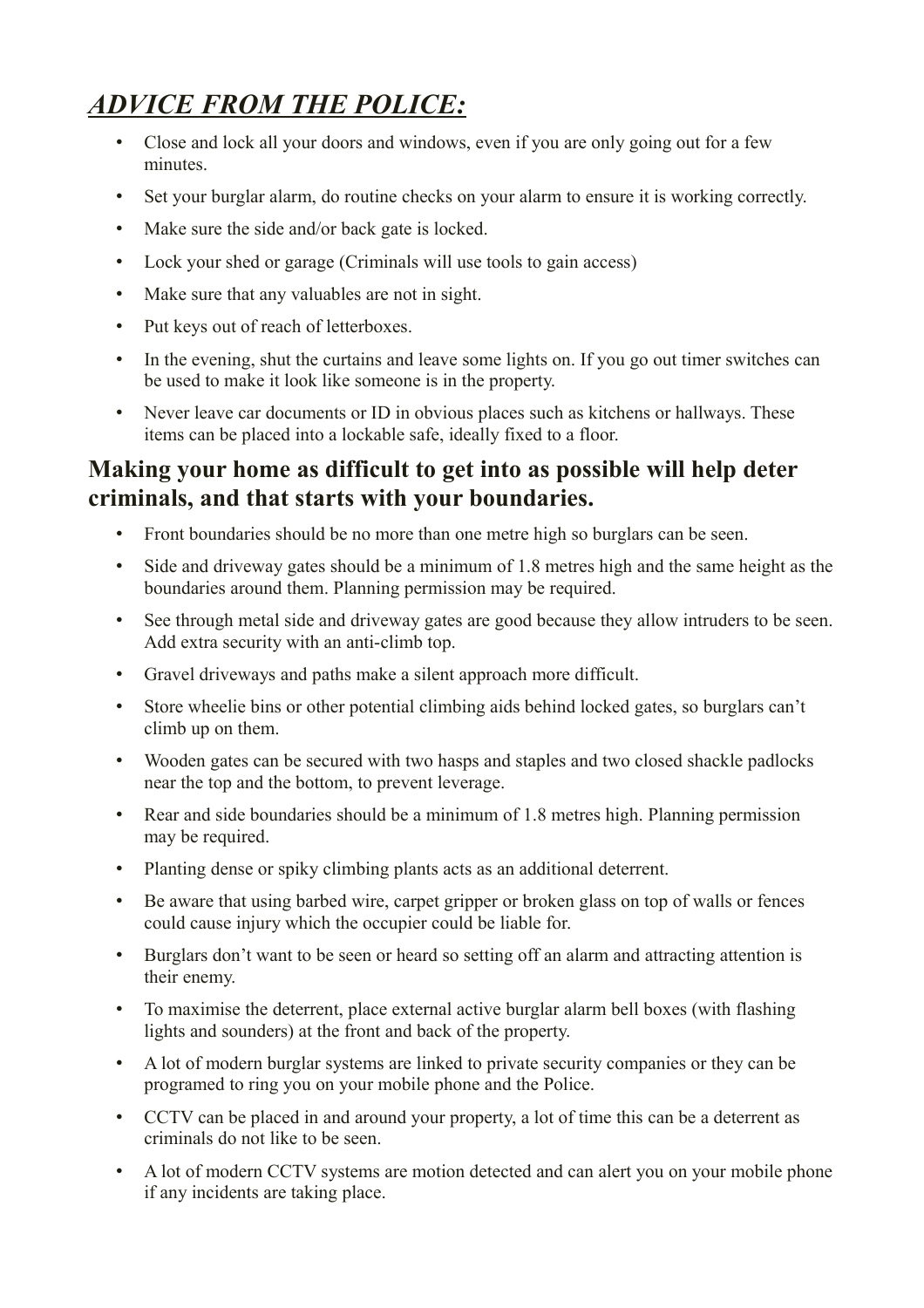# *ADVICE FROM THE POLICE:*

- Close and lock all your doors and windows, even if you are only going out for a few minutes.
- Set your burglar alarm, do routine checks on your alarm to ensure it is working correctly.
- Make sure the side and/or back gate is locked.
- Lock your shed or garage (Criminals will use tools to gain access)
- Make sure that any valuables are not in sight.
- Put keys out of reach of letterboxes.
- In the evening, shut the curtains and leave some lights on. If you go out timer switches can be used to make it look like someone is in the property.
- Never leave car documents or ID in obvious places such as kitchens or hallways. These items can be placed into a lockable safe, ideally fixed to a floor.

## **Making your home as difficult to get into as possible will help deter criminals, and that starts with your boundaries.**

- Front boundaries should be no more than one metre high so burglars can be seen.
- Side and driveway gates should be a minimum of 1.8 metres high and the same height as the boundaries around them. Planning permission may be required.
- See through metal side and driveway gates are good because they allow intruders to be seen. Add extra security with an anti-climb top.
- Gravel driveways and paths make a silent approach more difficult.
- Store wheelie bins or other potential climbing aids behind locked gates, so burglars can't climb up on them.
- Wooden gates can be secured with two hasps and staples and two closed shackle padlocks near the top and the bottom, to prevent leverage.
- Rear and side boundaries should be a minimum of 1.8 metres high. Planning permission may be required.
- Planting dense or spiky climbing plants acts as an additional deterrent.
- Be aware that using barbed wire, carpet gripper or broken glass on top of walls or fences could cause injury which the occupier could be liable for.
- Burglars don't want to be seen or heard so setting off an alarm and attracting attention is their enemy.
- To maximise the deterrent, place external active burglar alarm bell boxes (with flashing lights and sounders) at the front and back of the property.
- A lot of modern burglar systems are linked to private security companies or they can be programed to ring you on your mobile phone and the Police.
- CCTV can be placed in and around your property, a lot of time this can be a deterrent as criminals do not like to be seen.
- A lot of modern CCTV systems are motion detected and can alert you on your mobile phone if any incidents are taking place.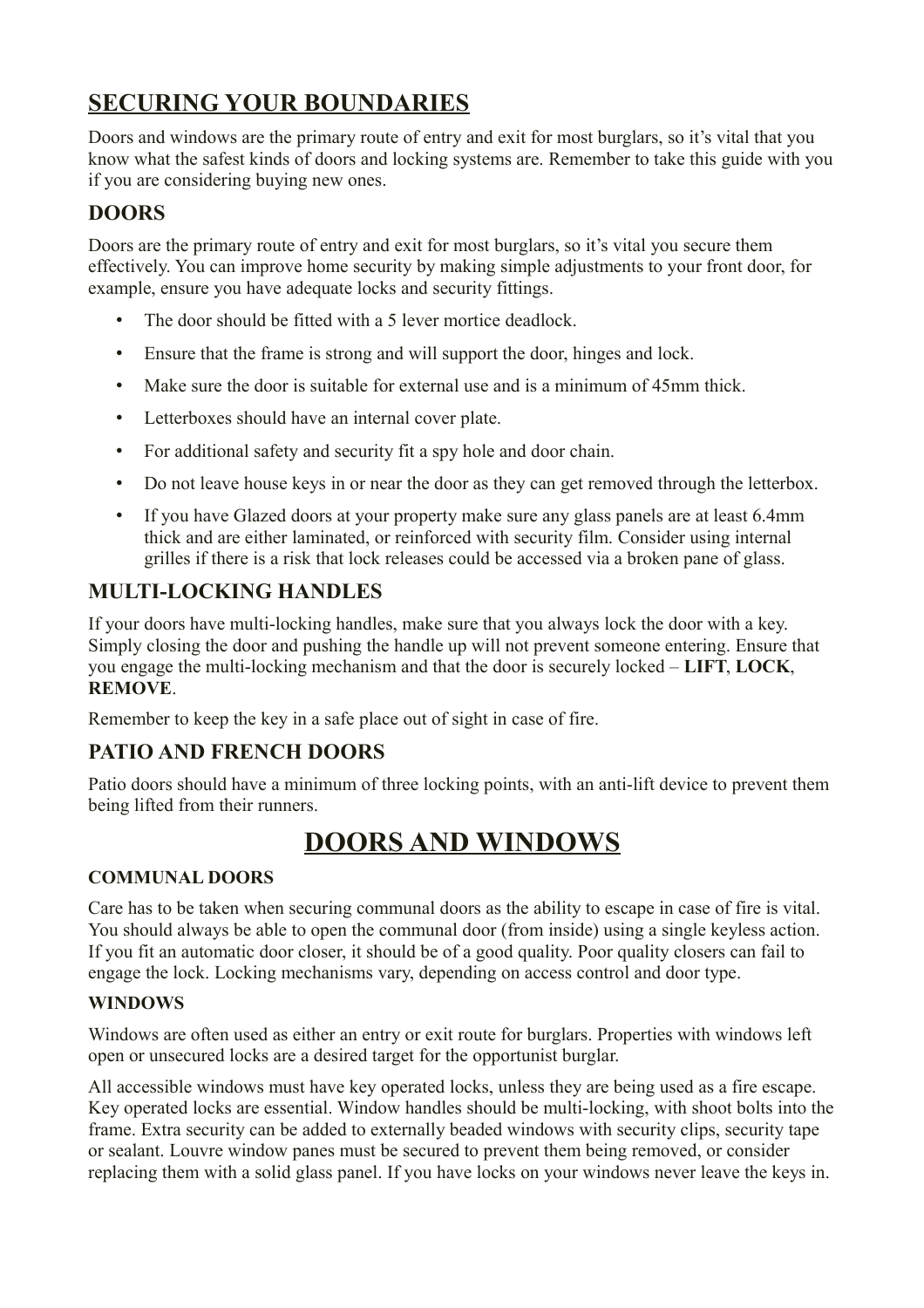## **SECURING YOUR BOUNDARIES**

Doors and windows are the primary route of entry and exit for most burglars, so it's vital that you know what the safest kinds of doors and locking systems are. Remember to take this guide with you if you are considering buying new ones.

### **DOORS**

Doors are the primary route of entry and exit for most burglars, so it's vital you secure them effectively. You can improve home security by making simple adjustments to your front door, for example, ensure you have adequate locks and security fittings.

- The door should be fitted with a 5 lever mortice deadlock.
- Ensure that the frame is strong and will support the door, hinges and lock.
- Make sure the door is suitable for external use and is a minimum of 45mm thick.
- Letterboxes should have an internal cover plate.
- For additional safety and security fit a spy hole and door chain.
- Do not leave house keys in or near the door as they can get removed through the letterbox.
- If you have Glazed doors at your property make sure any glass panels are at least 6.4mm thick and are either laminated, or reinforced with security film. Consider using internal grilles if there is a risk that lock releases could be accessed via a broken pane of glass.

## **MULTI-LOCKING HANDLES**

If your doors have multi-locking handles, make sure that you always lock the door with a key. Simply closing the door and pushing the handle up will not prevent someone entering. Ensure that you engage the multi-locking mechanism and that the door is securely locked – **LIFT**, **LOCK**, **REMOVE**.

Remember to keep the key in a safe place out of sight in case of fire.

## **PATIO AND FRENCH DOORS**

Patio doors should have a minimum of three locking points, with an anti-lift device to prevent them being lifted from their runners.

# **DOORS AND WINDOWS**

#### **COMMUNAL DOORS**

Care has to be taken when securing communal doors as the ability to escape in case of fire is vital. You should always be able to open the communal door (from inside) using a single keyless action. If you fit an automatic door closer, it should be of a good quality. Poor quality closers can fail to engage the lock. Locking mechanisms vary, depending on access control and door type.

### **WINDOWS**

Windows are often used as either an entry or exit route for burglars. Properties with windows left open or unsecured locks are a desired target for the opportunist burglar.

All accessible windows must have key operated locks, unless they are being used as a fire escape. Key operated locks are essential. Window handles should be multi-locking, with shoot bolts into the frame. Extra security can be added to externally beaded windows with security clips, security tape or sealant. Louvre window panes must be secured to prevent them being removed, or consider replacing them with a solid glass panel. If you have locks on your windows never leave the keys in.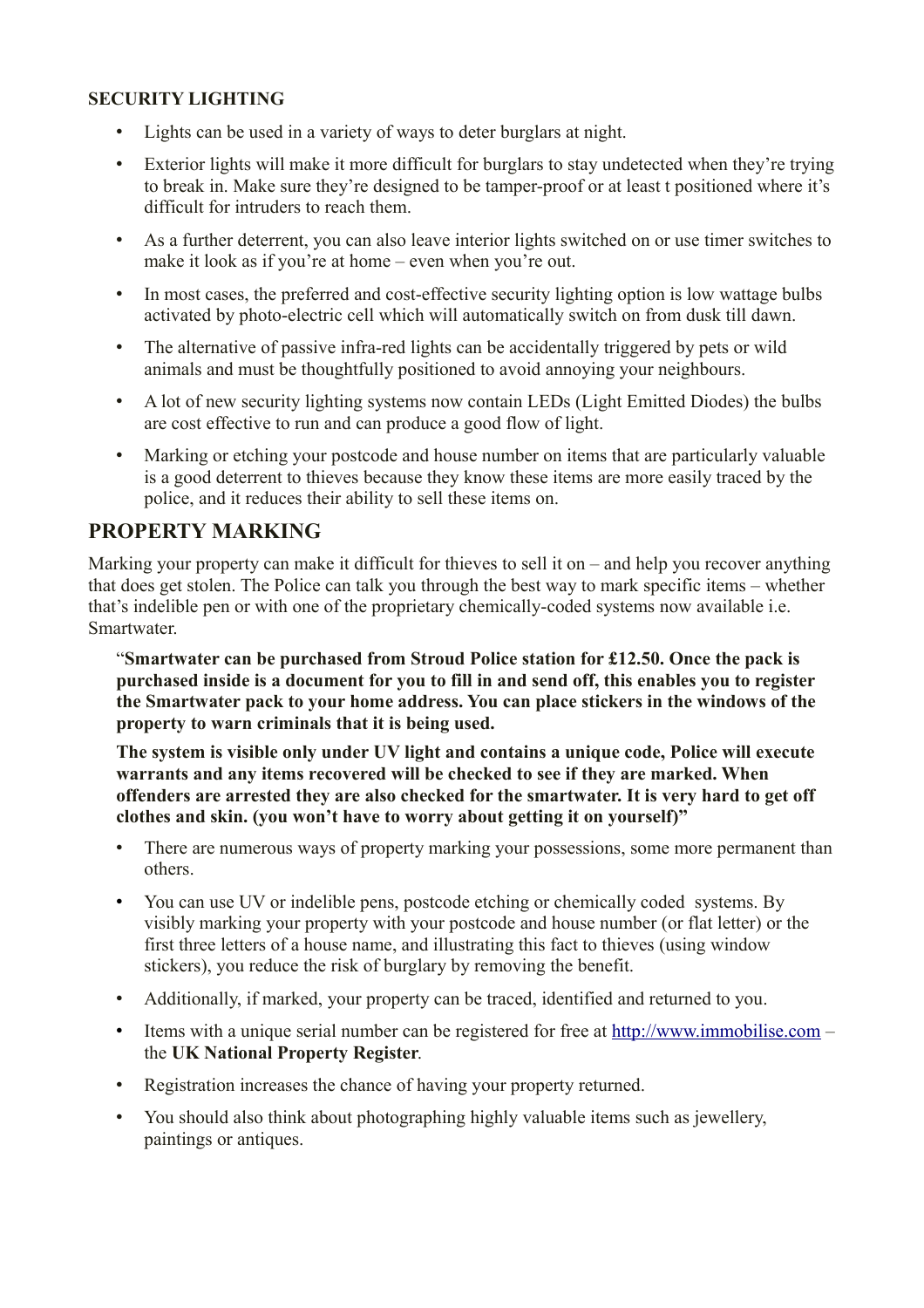#### **SECURITY LIGHTING**

- Lights can be used in a variety of ways to deter burglars at night.
- Exterior lights will make it more difficult for burglars to stay undetected when they're trying to break in. Make sure they're designed to be tamper-proof or at least t positioned where it's difficult for intruders to reach them.
- As a further deterrent, you can also leave interior lights switched on or use timer switches to make it look as if you're at home – even when you're out.
- In most cases, the preferred and cost-effective security lighting option is low wattage bulbs activated by photo-electric cell which will automatically switch on from dusk till dawn.
- The alternative of passive infra-red lights can be accidentally triggered by pets or wild animals and must be thoughtfully positioned to avoid annoying your neighbours.
- A lot of new security lighting systems now contain LEDs (Light Emitted Diodes) the bulbs are cost effective to run and can produce a good flow of light.
- Marking or etching your postcode and house number on items that are particularly valuable is a good deterrent to thieves because they know these items are more easily traced by the police, and it reduces their ability to sell these items on.

### **PROPERTY MARKING**

Marking your property can make it difficult for thieves to sell it on – and help you recover anything that does get stolen. The Police can talk you through the best way to mark specific items – whether that's indelible pen or with one of the proprietary chemically-coded systems now available i.e. **Smartwater** 

"**Smartwater can be purchased from Stroud Police station for £12.50. Once the pack is purchased inside is a document for you to fill in and send off, this enables you to register the Smartwater pack to your home address. You can place stickers in the windows of the property to warn criminals that it is being used.**

**The system is visible only under UV light and contains a unique code, Police will execute warrants and any items recovered will be checked to see if they are marked. When offenders are arrested they are also checked for the smartwater. It is very hard to get off clothes and skin. (you won't have to worry about getting it on yourself)"**

- There are numerous ways of property marking your possessions, some more permanent than others.
- You can use UV or indelible pens, postcode etching or chemically coded systems. By visibly marking your property with your postcode and house number (or flat letter) or the first three letters of a house name, and illustrating this fact to thieves (using window stickers), you reduce the risk of burglary by removing the benefit.
- Additionally, if marked, your property can be traced, identified and returned to you.
- Items with a unique serial number can be registered for free at [http://www.immobilise.com](http://www.immobilise.com/)  the **UK National Property Register**.
- Registration increases the chance of having your property returned.
- You should also think about photographing highly valuable items such as jewellery, paintings or antiques.